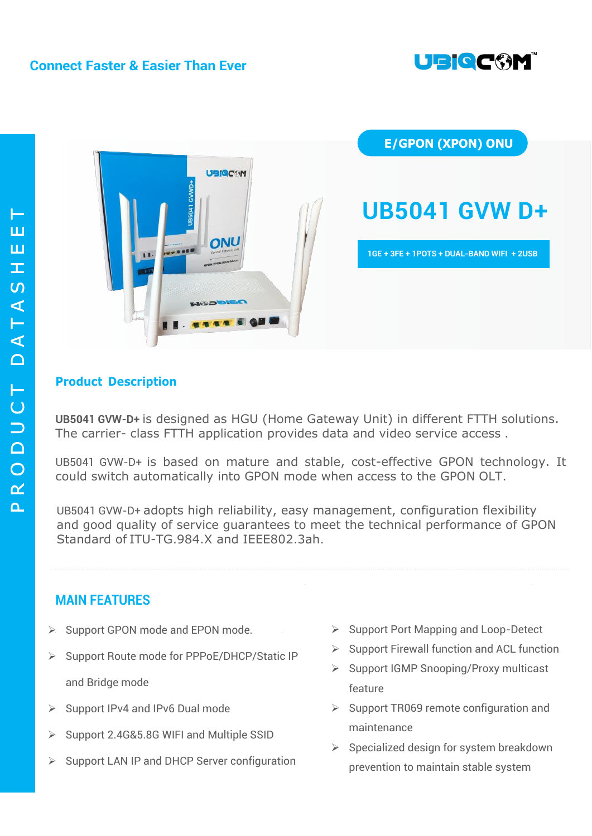# **Connect Faster & Easier Than Ever**





# **Product Description**

**UB5041 GVW-D+** is designed as HGU (Home Gateway Unit) in different FTTH solutions. The carrier- class FTTH application provides data and video service access .

UB5041 GVW-D+ is based on mature and stable, cost-effective GPON technology. It could switch automatically into GPON mode when access to the GPON OLT.

UB5041 GVW-D+ adopts high reliability, easy management, configuration flexibility and good quality of service guarantees to meet the technical performance of GPON Standard of ITU-TG.984.X and IEEE802.3ah.

# **MAIN FEATURES**

- $\triangleright$  Support GPON mode and EPON mode.
- ▶ Support Route mode for PPPoE/DHCP/Static IP and Bridge mode
- $\triangleright$  Support IPv4 and IPv6 Dual mode
- $\triangleright$  Support 2.4G&5.8G WIFI and Multiple SSID
- $\triangleright$  Support LAN IP and DHCP Server configuration
- $\triangleright$  Support Port Mapping and Loop-Detect
- $\triangleright$  Support Firewall function and ACL function
- $\triangleright$  Support IGMP Snooping/Proxy multicast feature
- $\triangleright$  Support TR069 remote configuration and maintenance
- $\triangleright$  Specialized design for system breakdown prevention to maintain stable system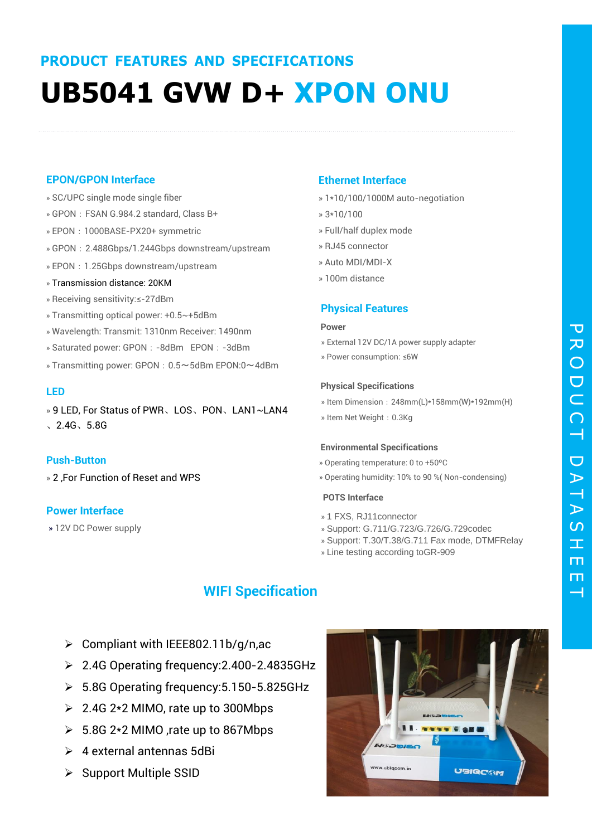# **PRODUCT FEATURES AND SPECIFICATIONS UB5041 GVW D+ XPON ONU**

## **EPON/GPON Interface**

- » SC/UPC single mode single fiber
- » GPON: FSAN G.984.2 standard, Class B+
- » EPON: 1000BASE-PX20+ symmetric
- » GPON: 2.488Gbps/1.244Gbps downstream/upstream
- » EPON: 1.25Gbps downstream/upstream
- » Transmission distance: 20KM
- » Receiving sensitivity:≤-27dBm
- » Transmitting optical power: +0.5~+5dBm
- » Wavelength: Transmit: 1310nm Receiver: 1490nm
- » Saturated power: GPON: -8dBm EPON: -3dBm
- » Transmitting power: GPON: 0.5~5dBm EPON:0~4dBm

#### **LED**

» 9 LED, For Status of PWR、LOS、PON、LAN1~LAN4 、2.4G、5.8G

#### **Push-Button**

» 2 ,For Function of Reset and WPS

# **Power Interface**

» 12V DC Power supply

# **Ethernet Interface**

- » 1\*10/100/1000M auto-negotiation
- » 3\*10/100
- » Full/half duplex mode
- » RJ45 connector
- » Auto MDI/MDI-X
- » 100m distance

## **Physical Features**

#### **Power**

- » External 12V DC/1A power supply adapter
- » Power consumption: ≤6W

#### **Physical Specifications**

- » Item Dimension:248mm(L)\*158mm(W)\*192mm(H)
- » Item Net Weight: 0.3Kg

#### **Environmental Specifications**

- » Operating temperature: 0 to +50ºC
- » Operating humidity: 10% to 90 %( Non-condensing)

#### **POTS Interface**

- » 1 FXS, RJ11connector
- » Support: G.711/G.723/G.726/G.729codec
- » Support: T.30/T.38/G.711 Fax mode, DTMFRelay
- » Line testing according toGR-909

# **WIFI Specification**

- $\triangleright$  Compliant with IEEE802.11b/g/n,ac
- 2.4G Operating frequency:2.400-2.4835GHz
- 5.8G Operating frequency:5.150-5.825GHz
- $\geq 2.4G$  2\*2 MIMO, rate up to 300Mbps
- $\geq 5.8G$  2\*2 MIMO , rate up to 867Mbps
- $\geq 4$  external antennas 5dBi
- $\triangleright$  Support Multiple SSID